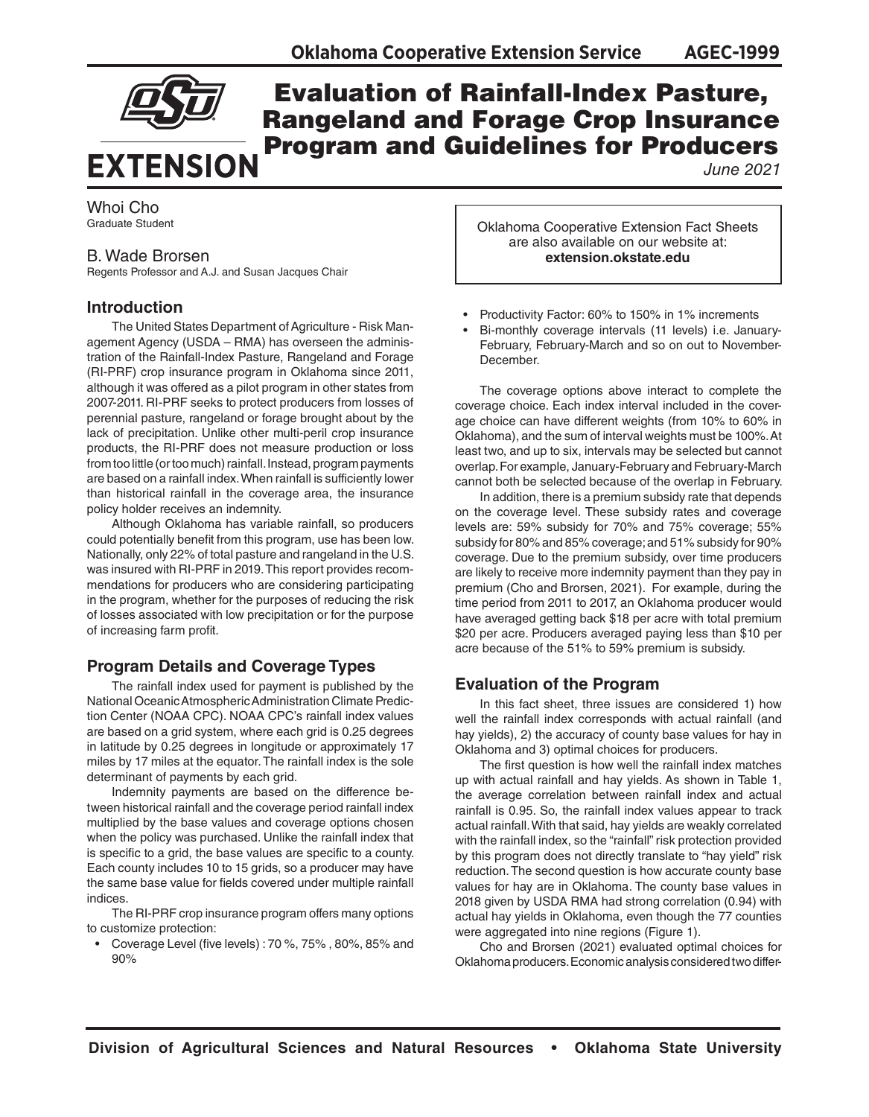

## Evaluation of Rainfall-Index Pasture, Rangeland and Forage Crop Insurance Program and Guidelines for Producers

*June 2021*

### Whoi Cho Graduate Student

### B. Wade Brorsen

Regents Professor and A.J. and Susan Jacques Chair

## **Introduction**

The United States Department of Agriculture - Risk Management Agency (USDA – RMA) has overseen the administration of the Rainfall-Index Pasture, Rangeland and Forage (RI-PRF) crop insurance program in Oklahoma since 2011, although it was offered as a pilot program in other states from 2007-2011. RI-PRF seeks to protect producers from losses of perennial pasture, rangeland or forage brought about by the lack of precipitation. Unlike other multi-peril crop insurance products, the RI-PRF does not measure production or loss from too little (or too much) rainfall. Instead, program payments are based on a rainfall index. When rainfall is sufficiently lower than historical rainfall in the coverage area, the insurance policy holder receives an indemnity.

Although Oklahoma has variable rainfall, so producers could potentially benefit from this program, use has been low. Nationally, only 22% of total pasture and rangeland in the U.S. was insured with RI-PRF in 2019. This report provides recommendations for producers who are considering participating in the program, whether for the purposes of reducing the risk of losses associated with low precipitation or for the purpose of increasing farm profit.

## **Program Details and Coverage Types**

The rainfall index used for payment is published by the National Oceanic Atmospheric Administration Climate Prediction Center (NOAA CPC). NOAA CPC's rainfall index values are based on a grid system, where each grid is 0.25 degrees in latitude by 0.25 degrees in longitude or approximately 17 miles by 17 miles at the equator. The rainfall index is the sole determinant of payments by each grid.

Indemnity payments are based on the difference between historical rainfall and the coverage period rainfall index multiplied by the base values and coverage options chosen when the policy was purchased. Unlike the rainfall index that is specific to a grid, the base values are specific to a county. Each county includes 10 to 15 grids, so a producer may have the same base value for fields covered under multiple rainfall indices.

The RI-PRF crop insurance program offers many options to customize protection:

• Coverage Level (five levels) : 70 %, 75% , 80%, 85% and 90%

Oklahoma Cooperative Extension Fact Sheets are also available on our website at: **extension.okstate.edu**

- Productivity Factor: 60% to 150% in 1% increments
- Bi-monthly coverage intervals (11 levels) i.e. January-February, February-March and so on out to November-December.

The coverage options above interact to complete the coverage choice. Each index interval included in the coverage choice can have different weights (from 10% to 60% in Oklahoma), and the sum of interval weights must be 100%. At least two, and up to six, intervals may be selected but cannot overlap. For example, January-February and February-March cannot both be selected because of the overlap in February.

In addition, there is a premium subsidy rate that depends on the coverage level. These subsidy rates and coverage levels are: 59% subsidy for 70% and 75% coverage; 55% subsidy for 80% and 85% coverage; and 51% subsidy for 90% coverage. Due to the premium subsidy, over time producers are likely to receive more indemnity payment than they pay in premium (Cho and Brorsen, 2021). For example, during the time period from 2011 to 2017, an Oklahoma producer would have averaged getting back \$18 per acre with total premium \$20 per acre. Producers averaged paying less than \$10 per acre because of the 51% to 59% premium is subsidy.

## **Evaluation of the Program**

In this fact sheet, three issues are considered 1) how well the rainfall index corresponds with actual rainfall (and hay yields), 2) the accuracy of county base values for hay in Oklahoma and 3) optimal choices for producers.

The first question is how well the rainfall index matches up with actual rainfall and hay yields. As shown in Table 1, the average correlation between rainfall index and actual rainfall is 0.95. So, the rainfall index values appear to track actual rainfall. With that said, hay yields are weakly correlated with the rainfall index, so the "rainfall" risk protection provided by this program does not directly translate to "hay yield" risk reduction. The second question is how accurate county base values for hay are in Oklahoma. The county base values in 2018 given by USDA RMA had strong correlation (0.94) with actual hay yields in Oklahoma, even though the 77 counties were aggregated into nine regions (Figure 1).

Cho and Brorsen (2021) evaluated optimal choices for Oklahoma producers. Economic analysis considered two differ-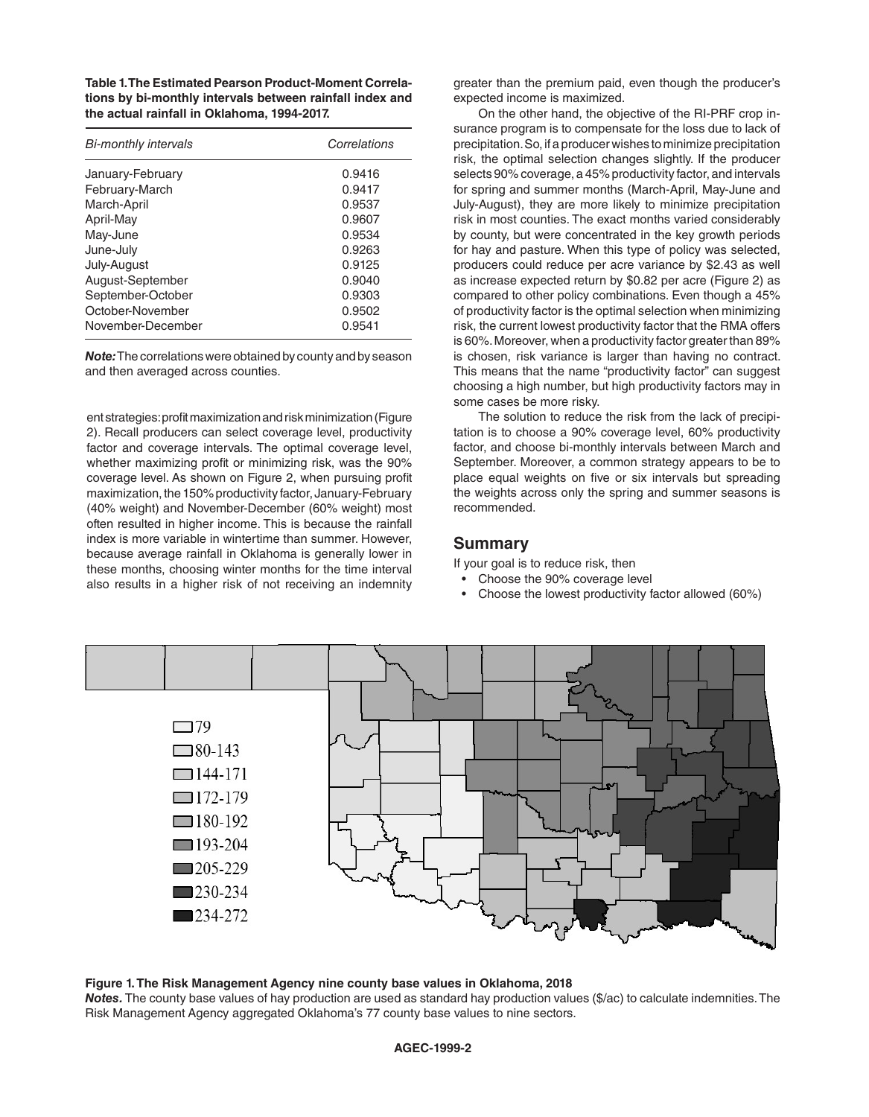**Table 1. The Estimated Pearson Product-Moment Correlations by bi-monthly intervals between rainfall index and the actual rainfall in Oklahoma, 1994-2017.**

| <b>Bi-monthly intervals</b> | Correlations |
|-----------------------------|--------------|
| January-February            | 0.9416       |
| February-March              | 0.9417       |
| March-April                 | 0.9537       |
| April-May                   | 0.9607       |
| May-June                    | 0.9534       |
| June-July                   | 0.9263       |
| July-August                 | 0.9125       |
| August-September            | 0.9040       |
| September-October           | 0.9303       |
| October-November            | 0.9502       |
| November-December           | 0.9541       |

*Note:* The correlations were obtained by county and by season and then averaged across counties.

ent strategies: profit maximization and risk minimization (Figure 2). Recall producers can select coverage level, productivity factor and coverage intervals. The optimal coverage level, whether maximizing profit or minimizing risk, was the 90% coverage level. As shown on Figure 2, when pursuing profit maximization, the 150% productivity factor, January-February (40% weight) and November-December (60% weight) most often resulted in higher income. This is because the rainfall index is more variable in wintertime than summer. However, because average rainfall in Oklahoma is generally lower in these months, choosing winter months for the time interval also results in a higher risk of not receiving an indemnity

greater than the premium paid, even though the producer's expected income is maximized.

On the other hand, the objective of the RI-PRF crop insurance program is to compensate for the loss due to lack of precipitation. So, if a producer wishes to minimize precipitation risk, the optimal selection changes slightly. If the producer selects 90% coverage, a 45% productivity factor, and intervals for spring and summer months (March-April, May-June and July-August), they are more likely to minimize precipitation risk in most counties. The exact months varied considerably by county, but were concentrated in the key growth periods for hay and pasture. When this type of policy was selected, producers could reduce per acre variance by \$2.43 as well as increase expected return by \$0.82 per acre (Figure 2) as compared to other policy combinations. Even though a 45% of productivity factor is the optimal selection when minimizing risk, the current lowest productivity factor that the RMA offers is 60%. Moreover, when a productivity factor greater than 89% is chosen, risk variance is larger than having no contract. This means that the name "productivity factor" can suggest choosing a high number, but high productivity factors may in some cases be more risky.

The solution to reduce the risk from the lack of precipitation is to choose a 90% coverage level, 60% productivity factor, and choose bi-monthly intervals between March and September. Moreover, a common strategy appears to be to place equal weights on five or six intervals but spreading the weights across only the spring and summer seasons is recommended.

## **Summary**

If your goal is to reduce risk, then

- Choose the 90% coverage level
- Choose the lowest productivity factor allowed (60%)



#### **Figure 1. The Risk Management Agency nine county base values in Oklahoma, 2018**

*Notes.* The county base values of hay production are used as standard hay production values (\$/ac) to calculate indemnities. The Risk Management Agency aggregated Oklahoma's 77 county base values to nine sectors.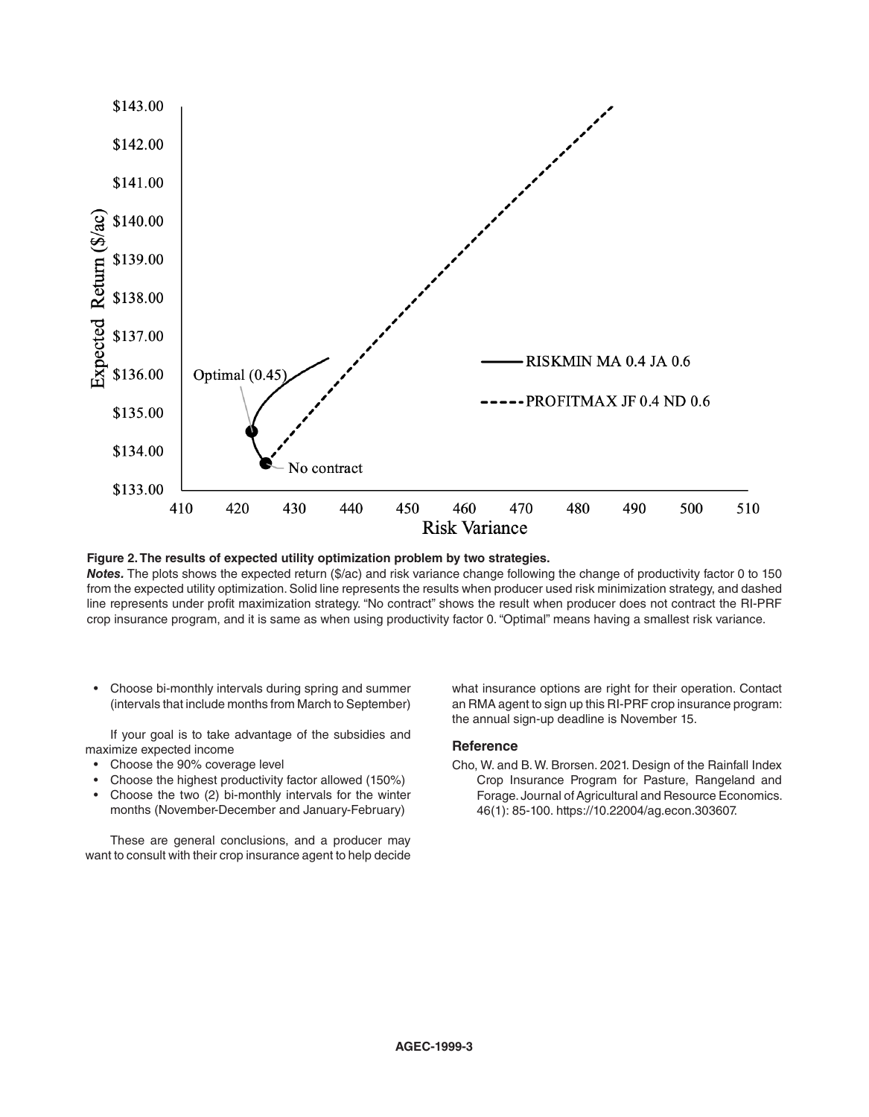

**Figure 2. The results of expected utility optimization problem by two strategies.**

*Notes.* The plots shows the expected return (\$/ac) and risk variance change following the change of productivity factor 0 to 150 from the expected utility optimization. Solid line represents the results when producer used risk minimization strategy, and dashed line represents under profit maximization strategy. "No contract" shows the result when producer does not contract the RI-PRF crop insurance program, and it is same as when using productivity factor 0. "Optimal" means having a smallest risk variance.

• Choose bi-monthly intervals during spring and summer (intervals that include months from March to September)

If your goal is to take advantage of the subsidies and maximize expected income

- Choose the 90% coverage level
- Choose the highest productivity factor allowed (150%)
- Choose the two (2) bi-monthly intervals for the winter months (November-December and January-February)

These are general conclusions, and a producer may want to consult with their crop insurance agent to help decide

what insurance options are right for their operation. Contact an RMA agent to sign up this RI-PRF crop insurance program: the annual sign-up deadline is November 15.

#### **Reference**

Cho, W. and B. W. Brorsen. 2021. Design of the Rainfall Index Crop Insurance Program for Pasture, Rangeland and Forage. Journal of Agricultural and Resource Economics. 46(1): 85-100. https://10.22004/ag.econ.303607.